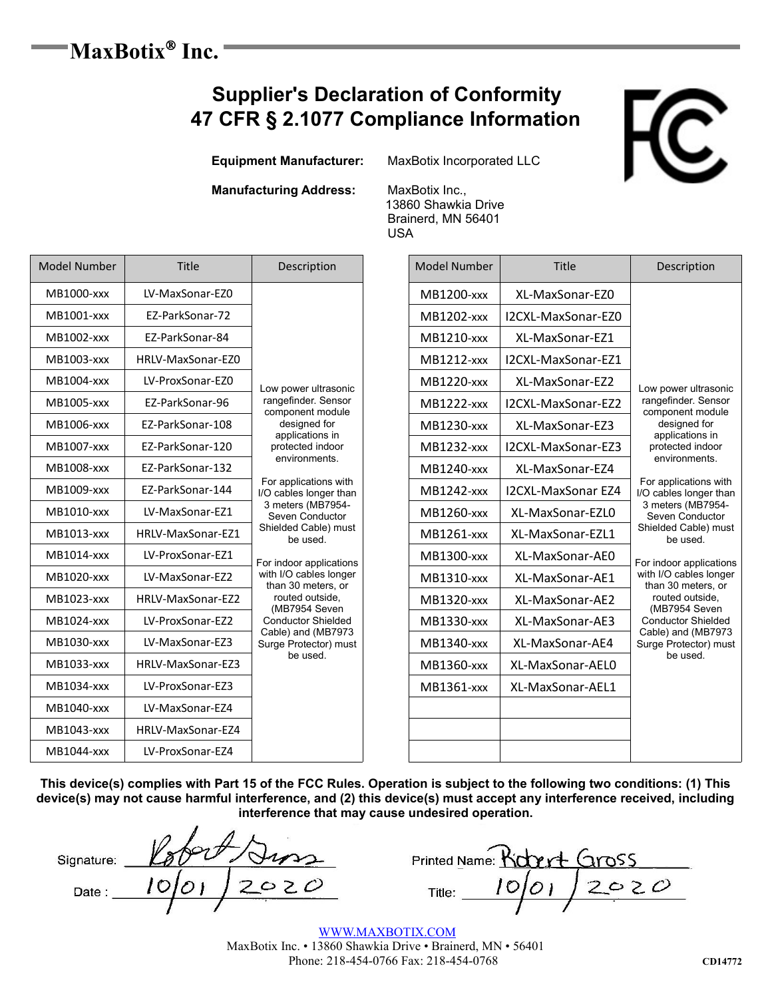### '**MaxBotix<sup>®</sup> Inc. Inc.**

## **Supplier's Declaration of Conformity 47 CFR § 2.1077 Compliance Information**

 **Equipment Manufacturer:** MaxBotix Incorporated LLC

### **Manufacturing Address:** MaxBotix Inc.,

 13860 Shawkia Drive Brainerd, MN 56401 USA

| <b>Model Number</b> | Title             | Description                                                                                              | <b>Model Number</b> | Title              |
|---------------------|-------------------|----------------------------------------------------------------------------------------------------------|---------------------|--------------------|
| MB1000-xxx          | LV-MaxSonar-EZ0   |                                                                                                          | <b>MB1200-xxx</b>   | XL-MaxSonar-EZ0    |
| MB1001-xxx          | EZ-ParkSonar-72   |                                                                                                          | MB1202-xxx          | I2CXL-MaxSonar-EZ0 |
| MB1002-xxx          | EZ-ParkSonar-84   |                                                                                                          | MB1210-xxx          | XL-MaxSonar-EZ1    |
| MB1003-xxx          | HRLV-MaxSonar-EZ0 |                                                                                                          | MB1212-xxx          | I2CXL-MaxSonar-EZ1 |
| MB1004-xxx          | LV-ProxSonar-EZ0  | Low power ultrasonic                                                                                     | MB1220-xxx          | XL-MaxSonar-EZ2    |
| MB1005-xxx          | EZ-ParkSonar-96   | rangefinder. Sensor<br>component module                                                                  | <b>MB1222-xxx</b>   | I2CXL-MaxSonar-EZ2 |
| MB1006-xxx          | EZ-ParkSonar-108  | designed for<br>applications in                                                                          | MB1230-xxx          | XL-MaxSonar-EZ3    |
| MB1007-xxx          | EZ-ParkSonar-120  | protected indoor                                                                                         | <b>MB1232-xxx</b>   | I2CXL-MaxSonar-EZ3 |
| MB1008-xxx          | EZ-ParkSonar-132  | environments.<br>For applications with<br>I/O cables longer than<br>3 meters (MB7954-<br>Seven Conductor | MB1240-xxx          | XL-MaxSonar-EZ4    |
| MB1009-xxx          | EZ-ParkSonar-144  |                                                                                                          | MB1242-xxx          | I2CXL-MaxSonar EZ4 |
| MB1010-xxx          | LV-MaxSonar-EZ1   |                                                                                                          | MB1260-xxx          | XL-MaxSonar-EZL0   |
| MB1013-xxx          | HRLV-MaxSonar-EZ1 | Shielded Cable) must<br>be used.                                                                         | MB1261-xxx          | XL-MaxSonar-EZL1   |
| MB1014-xxx          | LV-ProxSonar-EZ1  | For indoor applications                                                                                  | MB1300-xxx          | XL-MaxSonar-AE0    |
| MB1020-xxx          | LV-MaxSonar-EZ2   | with I/O cables longer<br>than 30 meters, or                                                             | MB1310-xxx          | XL-MaxSonar-AE1    |
| MB1023-xxx          | HRLV-MaxSonar-EZ2 | routed outside,<br>(MB7954 Seven                                                                         | MB1320-xxx          | XL-MaxSonar-AE2    |
| MB1024-xxx          | LV-ProxSonar-EZ2  | <b>Conductor Shielded</b>                                                                                | MB1330-xxx          | XL-MaxSonar-AE3    |
| MB1030-xxx          | LV-MaxSonar-EZ3   | Cable) and (MB7973<br>Surge Protector) must<br>be used.                                                  | MB1340-xxx          | XL-MaxSonar-AE4    |
| MB1033-xxx          | HRLV-MaxSonar-EZ3 |                                                                                                          | MB1360-xxx          | XL-MaxSonar-AEL0   |
| MB1034-xxx          | LV-ProxSonar-EZ3  |                                                                                                          | MB1361-xxx          | XL-MaxSonar-AEL1   |
| MB1040-xxx          | LV-MaxSonar-EZ4   |                                                                                                          |                     |                    |
| MB1043-xxx          | HRLV-MaxSonar-EZ4 |                                                                                                          |                     |                    |
| MB1044-xxx          | LV-ProxSonar-EZ4  |                                                                                                          |                     |                    |

81200-xxx XL-MaxSonar-EZ0 Low power ultrasonic rangefinder. Sensor component module designed for applications in protected indoor environments. For applications with I/O cables longer than 3 meters (MB7954- Seven Conductor Shielded Cable) must be used. For indoor applications with I/O cables longer than 30 meters, or routed outside, (MB7954 Seven Conductor Shielded Cable) and (MB7973 Surge Protector) must be used. MB1202-xxx LI2CXL-MaxSonar-EZ0 1210-xxx | XL-MaxSonar-EZ1 MB1212-xxx | I2CXL-MaxSonar-EZ1 1220-xxx | XL-MaxSonar-EZ2  $M31222$ -xxx | I2CXL-MaxSonar-EZ2 MB1230-xxx EXL-MaxSonar-EZ3 MB1232-xxx | I2CXL-MaxSonar-EZ3 81240-xxx RL-MaxSonar-EZ4 81242-xxx LI2CXL-MaxSonar EZ4  $M31260$ -xxx  $\parallel$  XL-MaxSonar-EZL0 81261-xxx | XL-MaxSonar-EZL1 81300-xxx | XL-MaxSonar-AE0  $B1310$ -xxx  $\parallel$  XL-MaxSonar-AE1 MB1320-xxx HRL-MaxSonar-AE2  $3330$ -xxx  $\parallel$  XL-MaxSonar-AE3  $B1340$ -xxx  $X$  XL-MaxSonar-AE4 1360-xxx | XL-MaxSonar-AEL0 MB1361-xxx | XL-MaxSonar-AEL1

**This device(s) complies with Part 15 of the FCC Rules. Operation is subject to the following two conditions: (1) This device(s) may not cause harmful interference, and (2) this device(s) must accept any interference received, including interference that may cause undesired operation.**

| Signature: | ×. |
|------------|----|
| Date:      | ノン |

| inature: |        | 222   |        | Printed Name: Richert Gross |       |  |
|----------|--------|-------|--------|-----------------------------|-------|--|
| Date     | ו מוס' | 12020 | Title: |                             | 12020 |  |
|          |        |       |        |                             |       |  |

WWW.MAXBOTIX.COM MaxBotix Inc. • 13860 Shawkia Drive • Brainerd, MN • 56401 Phone: 218-454-0766 Fax: 218-454-0768 **CD14772**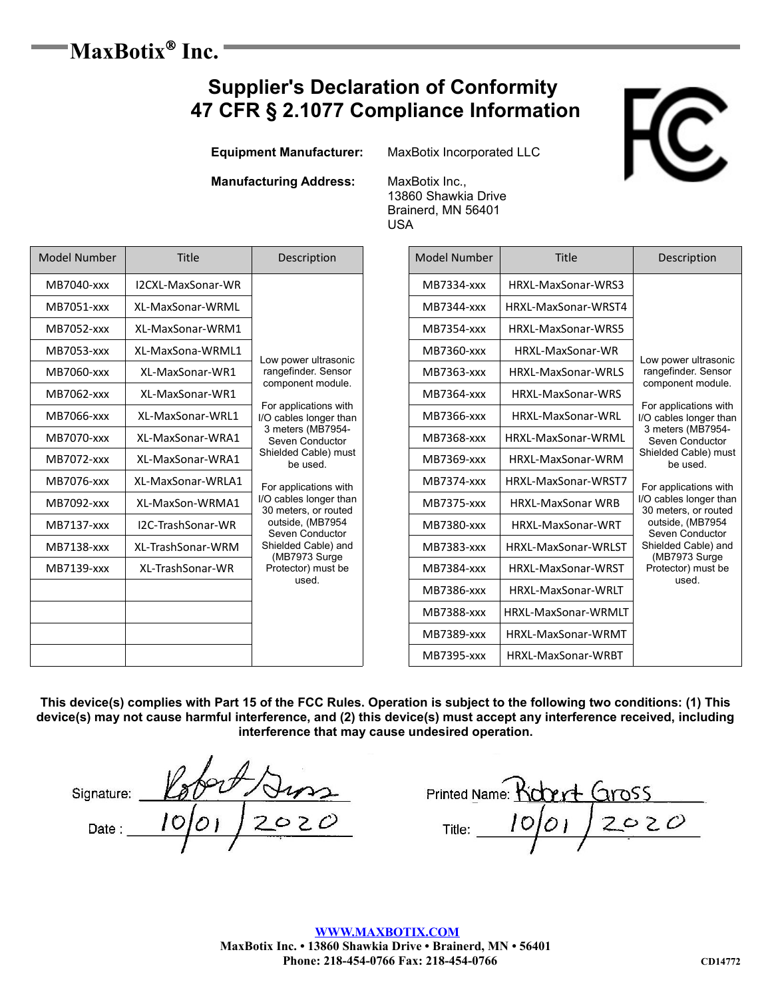# $-MaxBotix$ <sup>®</sup> Inc.

## **Supplier's Declaration of Conformity 47 CFR § 2.1077 Compliance Information**

**Equipment Manufacturer:** MaxBotix Incorporated LLC

**Manufacturing Address:** MaxBotix Inc.,

13860 Shawkia Drive Brainerd, MN 56401 USA

| Model Number | Title             | Description                                                                                                                           | Model Number | Title                    |                    |                   |            |                    |  |
|--------------|-------------------|---------------------------------------------------------------------------------------------------------------------------------------|--------------|--------------------------|--------------------|-------------------|------------|--------------------|--|
| MB7040-xxx   | I2CXL-MaxSonar-WR |                                                                                                                                       |              |                          |                    |                   | MB7334-xxx | HRXL-MaxSonar-WRS3 |  |
| MB7051-xxx   | XL-MaxSonar-WRML  |                                                                                                                                       | MB7344-xxx   | HRXL-MaxSonar-WRST4      |                    |                   |            |                    |  |
| MB7052-xxx   | XL-MaxSonar-WRM1  |                                                                                                                                       |              | MB7354-xxx               | HRXL-MaxSonar-WRS5 |                   |            |                    |  |
| MB7053-xxx   | XL-MaxSona-WRML1  | Low power ultrasonic                                                                                                                  | MB7360-xxx   | HRXL-MaxSonar-WR         | Low power ultras   |                   |            |                    |  |
| MB7060-xxx   | XL-MaxSonar-WR1   | rangefinder. Sensor                                                                                                                   | MB7363-xxx   | HRXL-MaxSonar-WRLS       |                    |                   |            |                    |  |
| MB7062-xxx   | XL-MaxSonar-WR1   | component module.                                                                                                                     | MB7364-xxx   | HRXL-MaxSonar-WRS        |                    |                   |            |                    |  |
| MB7066-xxx   | XL-MaxSonar-WRL1  | For applications with<br>I/O cables longer than<br>3 meters (MB7954-<br>Seven Conductor                                               |              | MB7366-xxx               | HRXL-MaxSonar-WRL  | I/O cables longer |            |                    |  |
| MB7070-xxx   | XL-MaxSonar-WRA1  |                                                                                                                                       | MB7368-xxx   | HRXL-MaxSonar-WRML       | Shielded Cable) r  |                   |            |                    |  |
| MB7072-xxx   | XL-MaxSonar-WRA1  | Shielded Cable) must<br>be used.                                                                                                      | MB7369-xxx   | HRXL-MaxSonar-WRM        |                    |                   |            |                    |  |
| MB7076-xxx   | XL-MaxSonar-WRLA1 | For applications with<br>I/O cables longer than<br>30 meters, or routed<br>outside, (MB7954<br>Seven Conductor<br>Shielded Cable) and | MB7374-xxx   | HRXL-MaxSonar-WRST7      |                    |                   |            |                    |  |
| MB7092-xxx   | XL-MaxSon-WRMA1   |                                                                                                                                       | MB7375-xxx   | <b>HRXL-MaxSonar WRB</b> |                    |                   |            |                    |  |
| MB7137-xxx   | I2C-TrashSonar-WR |                                                                                                                                       | MB7380-xxx   | HRXL-MaxSonar-WRT        |                    |                   |            |                    |  |
| MB7138-xxx   | XL-TrashSonar-WRM |                                                                                                                                       | MB7383-xxx   | HRXL-MaxSonar-WRLST      |                    |                   |            |                    |  |
| MB7139-xxx   | XL-TrashSonar-WR  | (MB7973 Surge<br>Protector) must be                                                                                                   | MB7384-xxx   | HRXL-MaxSonar-WRST       |                    |                   |            |                    |  |
|              |                   | used.                                                                                                                                 | MB7386-xxx   | HRXL-MaxSonar-WRLT       |                    |                   |            |                    |  |
|              |                   |                                                                                                                                       | MB7388-xxx   | HRXL-MaxSonar-WRMLT      |                    |                   |            |                    |  |
|              |                   |                                                                                                                                       | MB7389-xxx   | HRXL-MaxSonar-WRMT       |                    |                   |            |                    |  |
|              |                   |                                                                                                                                       | MB7395-xxx   | HRXL-MaxSonar-WRBT       |                    |                   |            |                    |  |

| Model Number | <b>Title</b>                                | Description                                                  |
|--------------|---------------------------------------------|--------------------------------------------------------------|
| MB7334-xxx   | HRXL-MaxSonar-WRS3                          |                                                              |
| MB7344-xxx   | HRXL-MaxSonar-WRST4                         |                                                              |
| MB7354-xxx   | HRXL-MaxSonar-WRS5                          |                                                              |
| MB7360-xxx   | HRXL-MaxSonar-WR                            | Low power ultrasonic                                         |
| MB7363-xxx   | HRXL-MaxSonar-WRLS                          | rangefinder. Sensor<br>component module.                     |
| MB7364-xxx   | HRXL-MaxSonar-WRS                           | For applications with                                        |
| MB7366-xxx   | HRXL-MaxSonar-WRL<br>I/O cables longer than |                                                              |
| MB7368-xxx   | HRXL-MaxSonar-WRML                          | 3 meters (MB7954-<br>Seven Conductor<br>Shielded Cable) must |
| MB7369-xxx   | HRXI-MaxSonar-WRM                           |                                                              |
| MB7374-xxx   | HRXI-MaxSonar-WRST7                         | For applications with                                        |
| MB7375-xxx   | <b>HRXL-MaxSonar WRB</b>                    | I/O cables longer than<br>30 meters, or routed               |
| MB7380-xxx   | <b>HRXI-MaxSonar-WRT</b>                    | outside, (MB7954<br>Seven Conductor                          |
| MB7383-xxx   | <b>HRXI-MaxSonar-WRIST</b>                  | Shielded Cable) and<br>(MB7973 Surge                         |
| MB7384-xxx   | <b>HRXI-MaxSonar-WRST</b>                   | Protector) must be<br>used                                   |
| MB7386-xxx   | HRXI-MaxSonar-WRIT                          |                                                              |
| MB7388-xxx   | HRXL-MaxSonar-WRMLT                         |                                                              |
| MB7389-xxx   | HRXL-MaxSonar-WRMT                          |                                                              |
| MB7395-xxx   | HRXL-MaxSonar-WRBT                          |                                                              |

**This device(s) complies with Part 15 of the FCC Rules. Operation is subject to the following two conditions: (1) This device(s) may not cause harmful interference, and (2) this device(s) must accept any interference received, including interference that may cause undesired operation.**

 $\mathbb{Z}$  best  $\mathbb{Z}$ 

Date:  $10012020$  Title:  $1001200$ Title: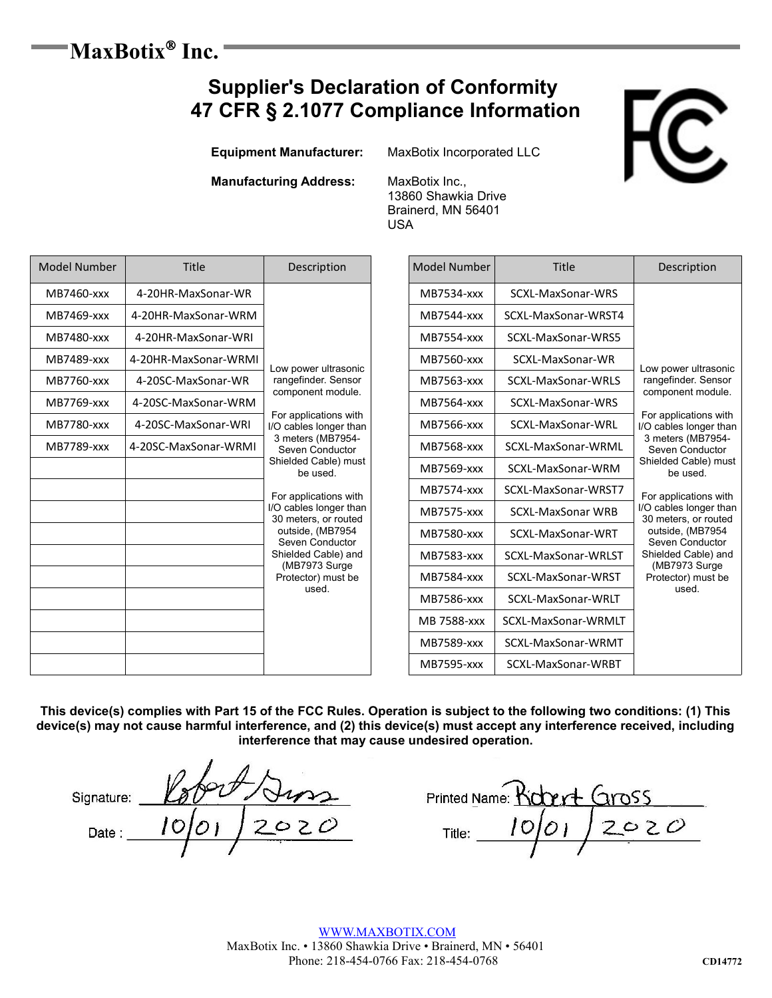### MaxBotix<sup>®</sup> Inc.  **Inc.**

## **Supplier's Declaration of Conformity 47 CFR § 2.1077 Compliance Information**

**Equipment Manufacturer:** MaxBotix Incorporated LLC

**Manufacturing Address:** MaxBotix Inc.,

13860 Shawkia Drive Brainerd, MN 56401 USA

| Model Number | Title                | Description                                                                                                                                                                                                                                                                                                          | <b>Model Number</b> | Title               |                          |                     |                     |                   |  |
|--------------|----------------------|----------------------------------------------------------------------------------------------------------------------------------------------------------------------------------------------------------------------------------------------------------------------------------------------------------------------|---------------------|---------------------|--------------------------|---------------------|---------------------|-------------------|--|
| MB7460-xxx   | 4-20HR-MaxSonar-WR   |                                                                                                                                                                                                                                                                                                                      |                     |                     |                          |                     | MB7534-xxx          | SCXL-MaxSonar-WRS |  |
| MB7469-xxx   | 4-20HR-MaxSonar-WRM  |                                                                                                                                                                                                                                                                                                                      |                     | <b>MB7544-xxx</b>   | SCXL-MaxSonar-WRST4      |                     |                     |                   |  |
| MB7480-xxx   | 4-20HR-MaxSonar-WRI  |                                                                                                                                                                                                                                                                                                                      |                     | MB7554-xxx          | SCXL-MaxSonar-WRS5       |                     |                     |                   |  |
| MB7489-xxx   | 4-20HR-MaxSonar-WRMI | Low power ultrasonic                                                                                                                                                                                                                                                                                                 | MB7560-xxx          | SCXL-MaxSonar-WR    | Low power ultras         |                     |                     |                   |  |
| MB7760-xxx   | 4-20SC-MaxSonar-WR   | rangefinder. Sensor                                                                                                                                                                                                                                                                                                  | MB7563-xxx          | SCXL-MaxSonar-WRLS  |                          |                     |                     |                   |  |
| MB7769-xxx   | 4-20SC-MaxSonar-WRM  | component module.                                                                                                                                                                                                                                                                                                    | MB7564-xxx          | SCXL-MaxSonar-WRS   | For applications         |                     |                     |                   |  |
| MB7780-xxx   | 4-20SC-MaxSonar-WRI  | For applications with<br>I/O cables longer than<br>3 meters (MB7954-<br>Seven Conductor<br>Shielded Cable) must<br>be used.<br>For applications with<br>I/O cables longer than<br>30 meters, or routed<br>outside, (MB7954<br>Seven Conductor<br>Shielded Cable) and<br>(MB7973 Surge<br>Protector) must be<br>used. | MB7566-xxx          | SCXL-MaxSonar-WRL   | I/O cables longer        |                     |                     |                   |  |
| MB7789-xxx   | 4-20SC-MaxSonar-WRMI |                                                                                                                                                                                                                                                                                                                      | MB7568-xxx          | SCXL-MaxSonar-WRML  |                          |                     |                     |                   |  |
|              |                      |                                                                                                                                                                                                                                                                                                                      | MB7569-xxx          | SCXL-MaxSonar-WRM   | Shielded Cable) r        |                     |                     |                   |  |
|              |                      |                                                                                                                                                                                                                                                                                                                      |                     |                     |                          | MB7574-xxx          | SCXL-MaxSonar-WRST7 |                   |  |
|              |                      |                                                                                                                                                                                                                                                                                                                      |                     | <b>MB7575-xxx</b>   | <b>SCXL-MaxSonar WRB</b> | I/O cables longer   |                     |                   |  |
|              |                      |                                                                                                                                                                                                                                                                                                                      | MB7580-xxx          | SCXL-MaxSonar-WRT   |                          |                     |                     |                   |  |
|              |                      |                                                                                                                                                                                                                                                                                                                      | MB7583-xxx          | SCXL-MaxSonar-WRLST |                          |                     |                     |                   |  |
|              |                      |                                                                                                                                                                                                                                                                                                                      | MB7584-xxx          | SCXL-MaxSonar-WRST  |                          |                     |                     |                   |  |
|              |                      |                                                                                                                                                                                                                                                                                                                      | MB7586-xxx          | SCXL-MaxSonar-WRLT  |                          |                     |                     |                   |  |
|              |                      |                                                                                                                                                                                                                                                                                                                      |                     |                     | MB 7588-xxx              | SCXL-MaxSonar-WRMLT |                     |                   |  |
|              |                      |                                                                                                                                                                                                                                                                                                                      |                     |                     | MB7589-xxx               | SCXL-MaxSonar-WRMT  |                     |                   |  |
|              |                      |                                                                                                                                                                                                                                                                                                                      | <b>MB7595-xxx</b>   | SCXL-MaxSonar-WRBT  |                          |                     |                     |                   |  |

| Model Number<br><b>Title</b>                                        |                          | Description                                     |  |  |  |
|---------------------------------------------------------------------|--------------------------|-------------------------------------------------|--|--|--|
| MB7534-xxx                                                          | SCXI-MaxSonar-WRS        |                                                 |  |  |  |
| MB7544-xxx                                                          | SCXI-MaxSonar-WRST4      |                                                 |  |  |  |
| MB7554-xxx                                                          | SCXL-MaxSonar-WRS5       |                                                 |  |  |  |
| MB7560-xxx                                                          | SCXI-MaxSonar-WR         | Low power ultrasonic                            |  |  |  |
| MB7563-xxx                                                          | SCXI-MaxSonar-WRLS       | rangefinder. Sensor                             |  |  |  |
| MB7564-xxx                                                          | SCXI-MaxSonar-WRS        | component module.                               |  |  |  |
| MB7566-xxx                                                          | SCXI-MaxSonar-WRI        | For applications with<br>I/O cables longer than |  |  |  |
| SCXI-MaxSonar-WRMI<br>MB7568-xxx<br>MB7569-xxx<br>SCXI-MaxSonar-WRM |                          | 3 meters (MB7954-<br>Seven Conductor            |  |  |  |
|                                                                     |                          | Shielded Cable) must<br>be used.                |  |  |  |
| MB7574-xxx                                                          | SCXI-MaxSonar-WRST7      | For applications with                           |  |  |  |
| MB7575-xxx                                                          | <b>SCXI-MaxSonar WRB</b> | I/O cables longer than<br>30 meters, or routed  |  |  |  |
| MB7580-xxx                                                          | SCXL-MaxSonar-WRT        | outside, (MB7954<br>Seven Conductor             |  |  |  |
| MB7583-xxx                                                          | SCXI-MaxSonar-WRLST      | Shielded Cable) and<br>(MB7973 Surge            |  |  |  |
| MB7584-xxx                                                          | SCXL-MaxSonar-WRST       | Protector) must be                              |  |  |  |
| MB7586-xxx                                                          | SCXL-MaxSonar-WRLT       | used                                            |  |  |  |
| <b>MB 7588-xxx</b>                                                  | SCXI-MaxSonar-WRMIT      |                                                 |  |  |  |
| MB7589-xxx                                                          | SCXL-MaxSonar-WRMT       |                                                 |  |  |  |
| MB7595-xxx                                                          | SCXI-MaxSonar-WRBT       |                                                 |  |  |  |

**This device(s) complies with Part 15 of the FCC Rules. Operation is subject to the following two conditions: (1) This device(s) may not cause harmful interference, and (2) this device(s) must accept any interference received, including interference that may cause undesired operation.**

Signature: \_\_\_\_\_\_\_\_\_\_\_\_\_\_\_\_\_\_\_\_\_\_\_\_\_\_\_\_\_ Printed Name: \_\_\_\_\_\_\_\_\_\_\_\_\_\_\_\_\_\_\_\_\_\_\_\_\_\_

Date:  $10012020$  Title:  $1001200$